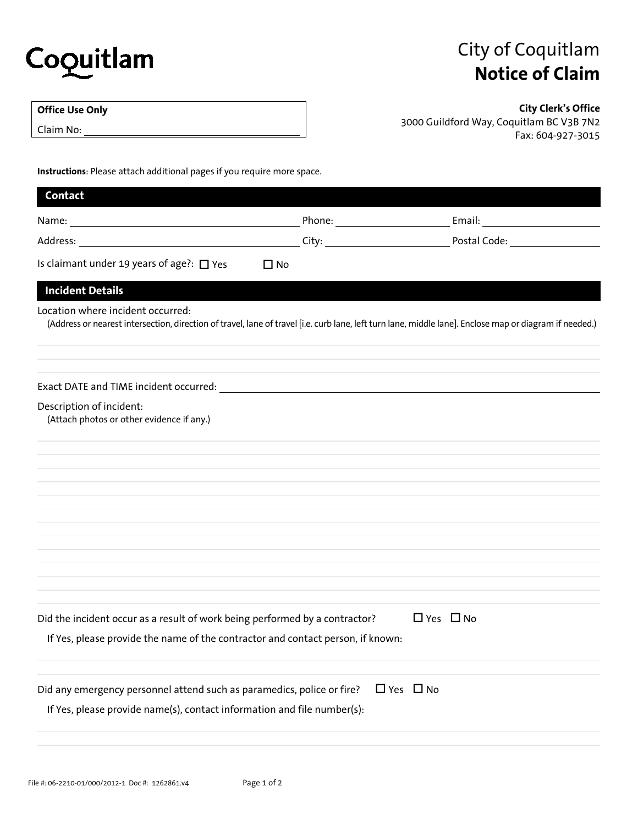

## City of Coquitlam **Notice of Claim**

## **Office Use Only**

Claim No:

**City Clerk's Office**  3000 Guildford Way, Coquitlam BC V3B 7N2 Fax: 604-927-3015

**Instructions**: Please attach additional pages if you require more space.

| Contact                                                                                                                                                                                                                        |                                         |                                                                                                                                                         |
|--------------------------------------------------------------------------------------------------------------------------------------------------------------------------------------------------------------------------------|-----------------------------------------|---------------------------------------------------------------------------------------------------------------------------------------------------------|
| Name: Name and the second state of the second state of the second state of the second state of the second state of the second state of the second state of the second state of the second state of the second state of the sec | Phone: <u>_________________________</u> | Email: Email: Album and Album and Album and Album and Album and Album and Album and Album and Album and Album                                           |
| Address: and the state of the state of the state of the state of the state of the state of the state of the state of the state of the state of the state of the state of the state of the state of the state of the state of t | City:                                   | Postal Code:                                                                                                                                            |
| Is claimant under 19 years of age?: $\Box$ Yes                                                                                                                                                                                 | $\Box$ No                               |                                                                                                                                                         |
| <b>Incident Details</b>                                                                                                                                                                                                        |                                         |                                                                                                                                                         |
| Location where incident occurred:                                                                                                                                                                                              |                                         | (Address or nearest intersection, direction of travel, lane of travel [i.e. curb lane, left turn lane, middle lane]. Enclose map or diagram if needed.) |
|                                                                                                                                                                                                                                |                                         |                                                                                                                                                         |
| Description of incident:<br>(Attach photos or other evidence if any.)                                                                                                                                                          |                                         |                                                                                                                                                         |
|                                                                                                                                                                                                                                |                                         |                                                                                                                                                         |
|                                                                                                                                                                                                                                |                                         |                                                                                                                                                         |
|                                                                                                                                                                                                                                |                                         |                                                                                                                                                         |
|                                                                                                                                                                                                                                |                                         |                                                                                                                                                         |
|                                                                                                                                                                                                                                |                                         |                                                                                                                                                         |
|                                                                                                                                                                                                                                |                                         |                                                                                                                                                         |
| Did the incident occur as a result of work being performed by a contractor?                                                                                                                                                    |                                         | $\Box$ Yes $\Box$ No                                                                                                                                    |
| If Yes, please provide the name of the contractor and contact person, if known:                                                                                                                                                |                                         |                                                                                                                                                         |
| Did any emergency personnel attend such as paramedics, police or fire?                                                                                                                                                         |                                         | $\Box$ Yes $\Box$ No                                                                                                                                    |
| If Yes, please provide name(s), contact information and file number(s):                                                                                                                                                        |                                         |                                                                                                                                                         |
|                                                                                                                                                                                                                                |                                         |                                                                                                                                                         |